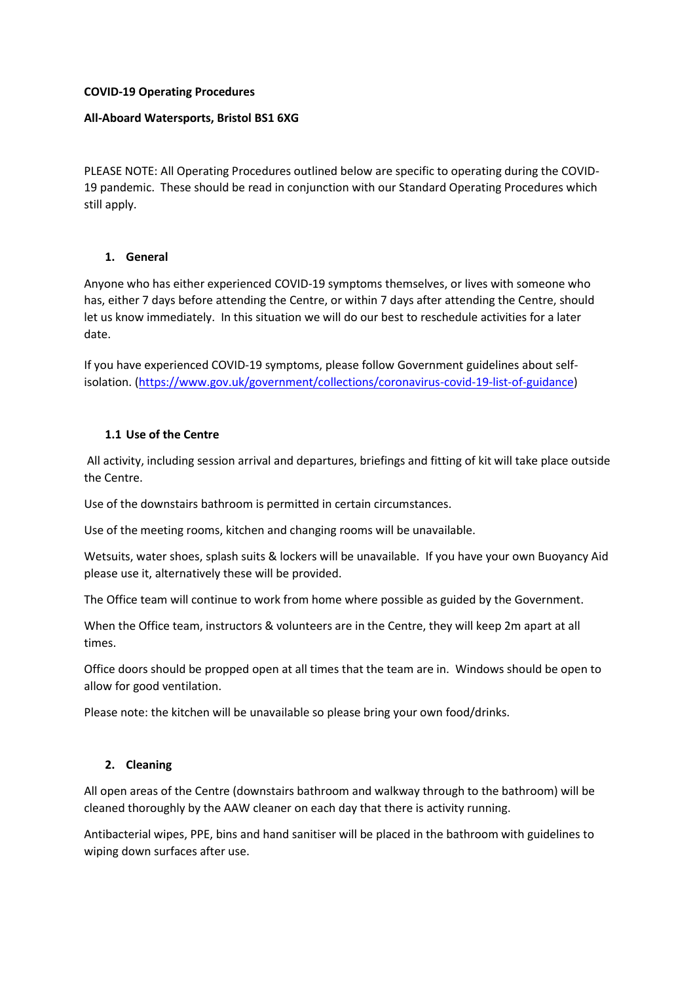### **COVID-19 Operating Procedures**

### **All-Aboard Watersports, Bristol BS1 6XG**

PLEASE NOTE: All Operating Procedures outlined below are specific to operating during the COVID-19 pandemic. These should be read in conjunction with our Standard Operating Procedures which still apply.

#### **1. General**

Anyone who has either experienced COVID-19 symptoms themselves, or lives with someone who has, either 7 days before attending the Centre, or within 7 days after attending the Centre, should let us know immediately. In this situation we will do our best to reschedule activities for a later date.

If you have experienced COVID-19 symptoms, please follow Government guidelines about selfisolation. [\(https://www.gov.uk/government/collections/coronavirus-covid-19-list-of-guidance\)](https://www.gov.uk/government/collections/coronavirus-covid-19-list-of-guidance)

#### **1.1 Use of the Centre**

All activity, including session arrival and departures, briefings and fitting of kit will take place outside the Centre.

Use of the downstairs bathroom is permitted in certain circumstances.

Use of the meeting rooms, kitchen and changing rooms will be unavailable.

Wetsuits, water shoes, splash suits & lockers will be unavailable. If you have your own Buoyancy Aid please use it, alternatively these will be provided.

The Office team will continue to work from home where possible as guided by the Government.

When the Office team, instructors & volunteers are in the Centre, they will keep 2m apart at all times.

Office doors should be propped open at all times that the team are in. Windows should be open to allow for good ventilation.

Please note: the kitchen will be unavailable so please bring your own food/drinks.

### **2. Cleaning**

All open areas of the Centre (downstairs bathroom and walkway through to the bathroom) will be cleaned thoroughly by the AAW cleaner on each day that there is activity running.

Antibacterial wipes, PPE, bins and hand sanitiser will be placed in the bathroom with guidelines to wiping down surfaces after use.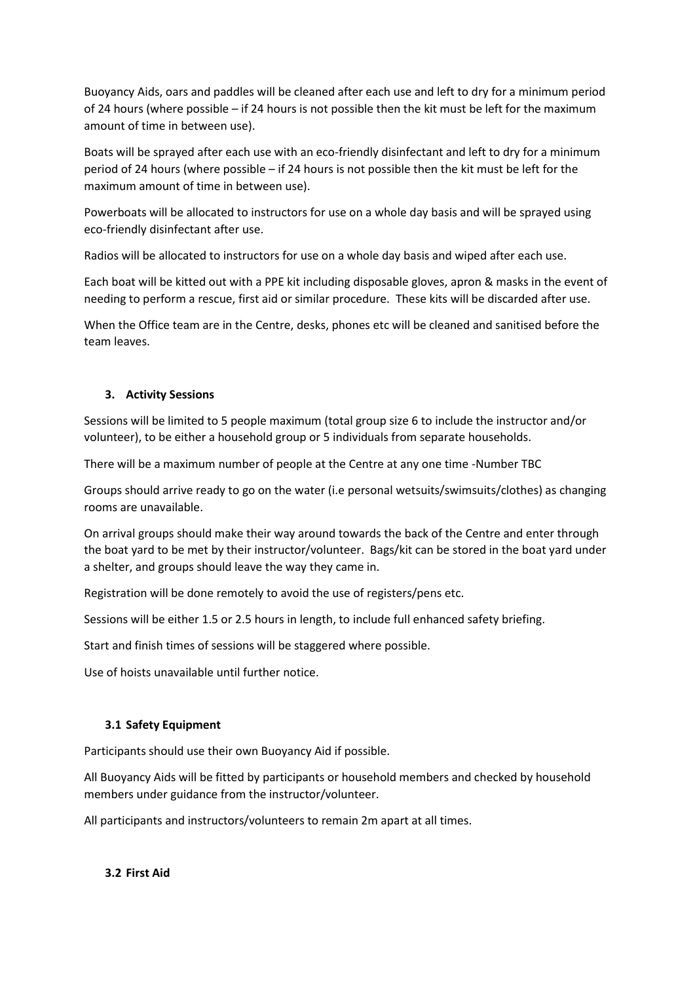Buoyancy Aids, oars and paddles will be cleaned after each use and left to dry for a minimum period of 24 hours (where possible – if 24 hours is not possible then the kit must be left for the maximum amount of time in between use).

Boats will be sprayed after each use with an eco-friendly disinfectant and left to dry for a minimum period of 24 hours (where possible – if 24 hours is not possible then the kit must be left for the maximum amount of time in between use).

Powerboats will be allocated to instructors for use on a whole day basis and will be sprayed using eco-friendly disinfectant after use.

Radios will be allocated to instructors for use on a whole day basis and wiped after each use.

Each boat will be kitted out with a PPE kit including disposable gloves, apron & masks in the event of needing to perform a rescue, first aid or similar procedure. These kits will be discarded after use.

When the Office team are in the Centre, desks, phones etc will be cleaned and sanitised before the team leaves.

## **3. Activity Sessions**

Sessions will be limited to 5 people maximum (total group size 6 to include the instructor and/or volunteer), to be either a household group or 5 individuals from separate households.

There will be a maximum number of people at the Centre at any one time -Number TBC

Groups should arrive ready to go on the water (i.e personal wetsuits/swimsuits/clothes) as changing rooms are unavailable.

On arrival groups should make their way around towards the back of the Centre and enter through the boat yard to be met by their instructor/volunteer. Bags/kit can be stored in the boat yard under a shelter, and groups should leave the way they came in.

Registration will be done remotely to avoid the use of registers/pens etc.

Sessions will be either 1.5 or 2.5 hours in length, to include full enhanced safety briefing.

Start and finish times of sessions will be staggered where possible.

Use of hoists unavailable until further notice.

## **3.1 Safety Equipment**

Participants should use their own Buoyancy Aid if possible.

All Buoyancy Aids will be fitted by participants or household members and checked by household members under guidance from the instructor/volunteer.

All participants and instructors/volunteers to remain 2m apart at all times.

**3.2 First Aid**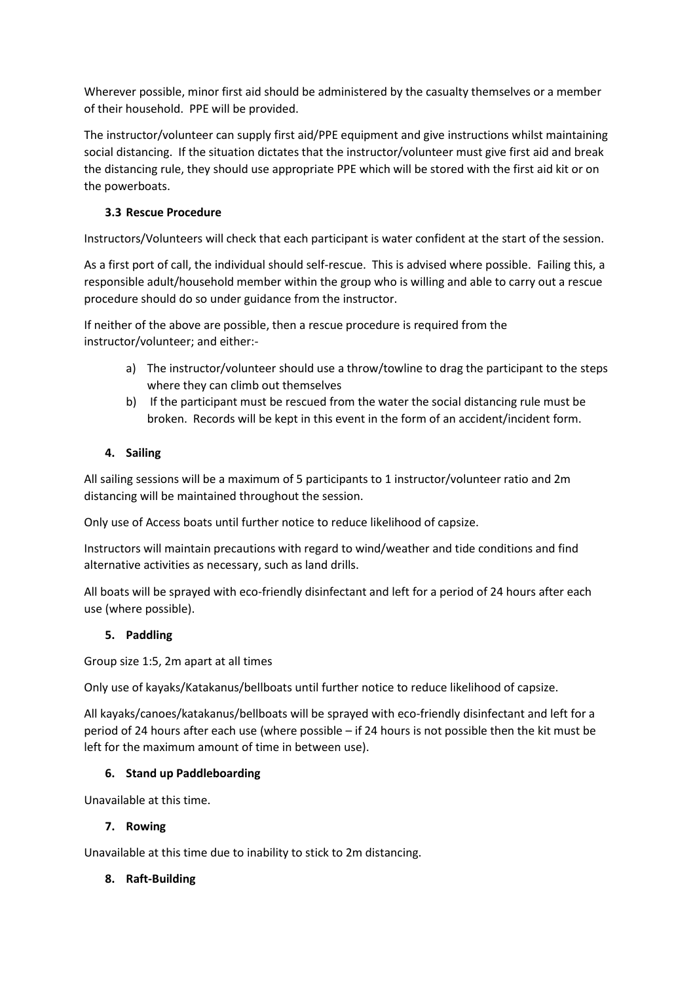Wherever possible, minor first aid should be administered by the casualty themselves or a member of their household. PPE will be provided.

The instructor/volunteer can supply first aid/PPE equipment and give instructions whilst maintaining social distancing. If the situation dictates that the instructor/volunteer must give first aid and break the distancing rule, they should use appropriate PPE which will be stored with the first aid kit or on the powerboats.

# **3.3 Rescue Procedure**

Instructors/Volunteers will check that each participant is water confident at the start of the session.

As a first port of call, the individual should self-rescue. This is advised where possible. Failing this, a responsible adult/household member within the group who is willing and able to carry out a rescue procedure should do so under guidance from the instructor.

If neither of the above are possible, then a rescue procedure is required from the instructor/volunteer; and either:-

- a) The instructor/volunteer should use a throw/towline to drag the participant to the steps where they can climb out themselves
- b) If the participant must be rescued from the water the social distancing rule must be broken. Records will be kept in this event in the form of an accident/incident form.

# **4. Sailing**

All sailing sessions will be a maximum of 5 participants to 1 instructor/volunteer ratio and 2m distancing will be maintained throughout the session.

Only use of Access boats until further notice to reduce likelihood of capsize.

Instructors will maintain precautions with regard to wind/weather and tide conditions and find alternative activities as necessary, such as land drills.

All boats will be sprayed with eco-friendly disinfectant and left for a period of 24 hours after each use (where possible).

## **5. Paddling**

Group size 1:5, 2m apart at all times

Only use of kayaks/Katakanus/bellboats until further notice to reduce likelihood of capsize.

All kayaks/canoes/katakanus/bellboats will be sprayed with eco-friendly disinfectant and left for a period of 24 hours after each use (where possible – if 24 hours is not possible then the kit must be left for the maximum amount of time in between use).

## **6. Stand up Paddleboarding**

Unavailable at this time.

## **7. Rowing**

Unavailable at this time due to inability to stick to 2m distancing.

## **8. Raft-Building**